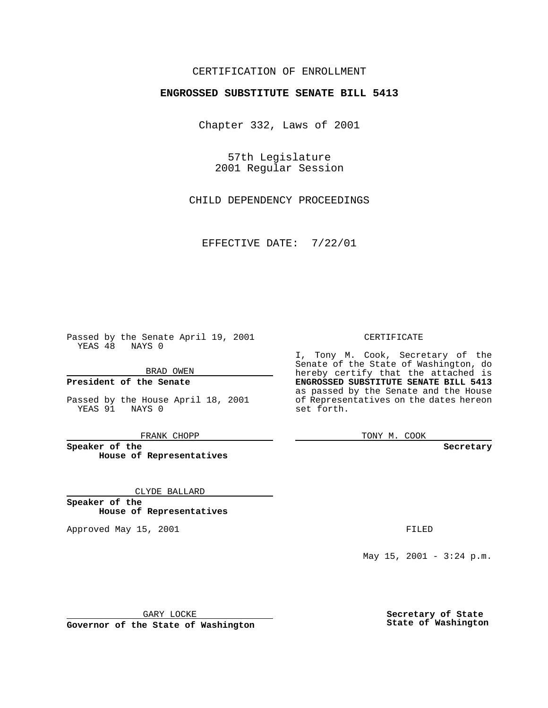### CERTIFICATION OF ENROLLMENT

# **ENGROSSED SUBSTITUTE SENATE BILL 5413**

Chapter 332, Laws of 2001

57th Legislature 2001 Regular Session

CHILD DEPENDENCY PROCEEDINGS

EFFECTIVE DATE: 7/22/01

Passed by the Senate April 19, 2001 YEAS 48 NAYS 0

BRAD OWEN

**President of the Senate**

Passed by the House April 18, 2001 YEAS 91 NAYS 0

FRANK CHOPP

**Speaker of the House of Representatives**

CLYDE BALLARD

**Speaker of the House of Representatives**

Approved May 15, 2001 **FILED** 

#### CERTIFICATE

I, Tony M. Cook, Secretary of the Senate of the State of Washington, do hereby certify that the attached is **ENGROSSED SUBSTITUTE SENATE BILL 5413** as passed by the Senate and the House of Representatives on the dates hereon set forth.

TONY M. COOK

**Secretary**

May  $15$ ,  $2001 - 3:24$  p.m.

GARY LOCKE

**Governor of the State of Washington**

**Secretary of State State of Washington**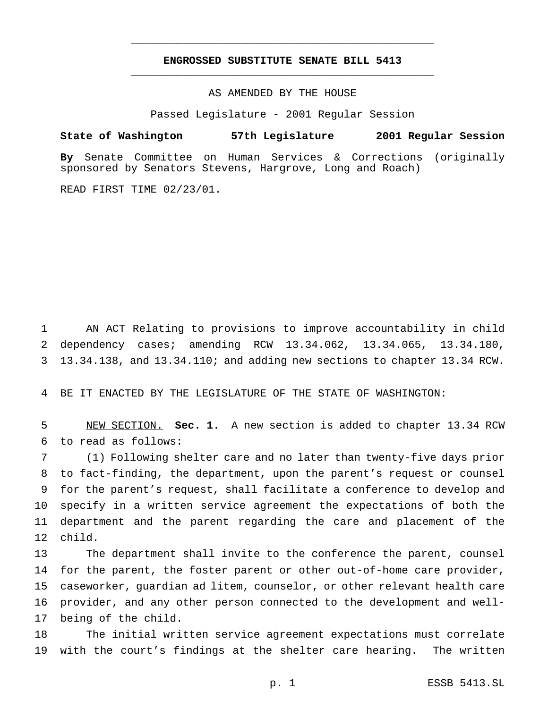## **ENGROSSED SUBSTITUTE SENATE BILL 5413** \_\_\_\_\_\_\_\_\_\_\_\_\_\_\_\_\_\_\_\_\_\_\_\_\_\_\_\_\_\_\_\_\_\_\_\_\_\_\_\_\_\_\_\_\_\_\_

\_\_\_\_\_\_\_\_\_\_\_\_\_\_\_\_\_\_\_\_\_\_\_\_\_\_\_\_\_\_\_\_\_\_\_\_\_\_\_\_\_\_\_\_\_\_\_

### AS AMENDED BY THE HOUSE

Passed Legislature - 2001 Regular Session

### **State of Washington 57th Legislature 2001 Regular Session**

**By** Senate Committee on Human Services & Corrections (originally sponsored by Senators Stevens, Hargrove, Long and Roach)

READ FIRST TIME 02/23/01.

 AN ACT Relating to provisions to improve accountability in child dependency cases; amending RCW 13.34.062, 13.34.065, 13.34.180, 13.34.138, and 13.34.110; and adding new sections to chapter 13.34 RCW.

BE IT ENACTED BY THE LEGISLATURE OF THE STATE OF WASHINGTON:

 NEW SECTION. **Sec. 1.** A new section is added to chapter 13.34 RCW to read as follows:

 (1) Following shelter care and no later than twenty-five days prior to fact-finding, the department, upon the parent's request or counsel for the parent's request, shall facilitate a conference to develop and specify in a written service agreement the expectations of both the department and the parent regarding the care and placement of the child.

 The department shall invite to the conference the parent, counsel for the parent, the foster parent or other out-of-home care provider, caseworker, guardian ad litem, counselor, or other relevant health care provider, and any other person connected to the development and well-being of the child.

 The initial written service agreement expectations must correlate with the court's findings at the shelter care hearing. The written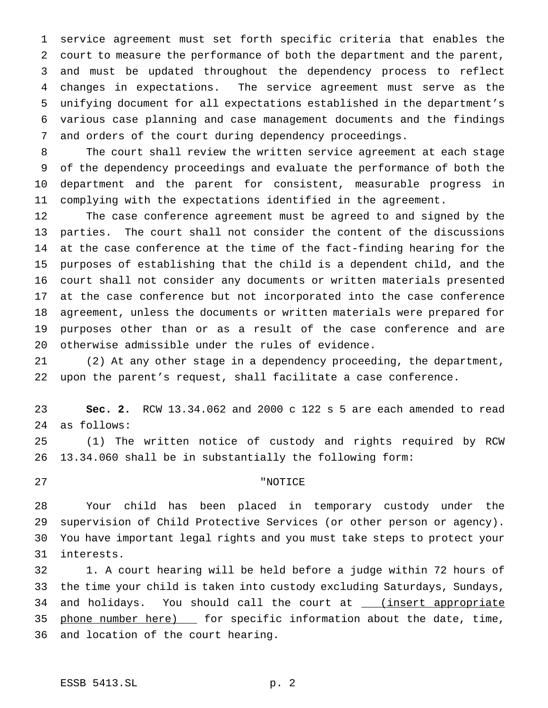service agreement must set forth specific criteria that enables the court to measure the performance of both the department and the parent, and must be updated throughout the dependency process to reflect changes in expectations. The service agreement must serve as the unifying document for all expectations established in the department's various case planning and case management documents and the findings and orders of the court during dependency proceedings.

 The court shall review the written service agreement at each stage of the dependency proceedings and evaluate the performance of both the department and the parent for consistent, measurable progress in complying with the expectations identified in the agreement.

 The case conference agreement must be agreed to and signed by the parties. The court shall not consider the content of the discussions at the case conference at the time of the fact-finding hearing for the purposes of establishing that the child is a dependent child, and the court shall not consider any documents or written materials presented at the case conference but not incorporated into the case conference agreement, unless the documents or written materials were prepared for purposes other than or as a result of the case conference and are otherwise admissible under the rules of evidence.

 (2) At any other stage in a dependency proceeding, the department, upon the parent's request, shall facilitate a case conference.

 **Sec. 2.** RCW 13.34.062 and 2000 c 122 s 5 are each amended to read as follows:

 (1) The written notice of custody and rights required by RCW 13.34.060 shall be in substantially the following form:

## "NOTICE

 Your child has been placed in temporary custody under the supervision of Child Protective Services (or other person or agency). You have important legal rights and you must take steps to protect your interests.

 1. A court hearing will be held before a judge within 72 hours of the time your child is taken into custody excluding Saturdays, Sundays, 34 and holidays. You should call the court at \_\_\_ (insert appropriate 35 phone number here) \_\_ for specific information about the date, time, and location of the court hearing.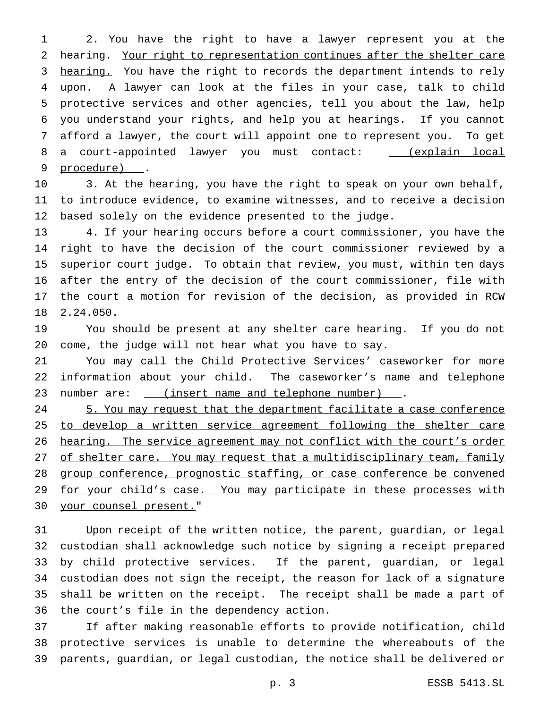2. You have the right to have a lawyer represent you at the hearing. Your right to representation continues after the shelter care 3 hearing. You have the right to records the department intends to rely upon. A lawyer can look at the files in your case, talk to child protective services and other agencies, tell you about the law, help you understand your rights, and help you at hearings. If you cannot afford a lawyer, the court will appoint one to represent you. To get 8 a court-appointed lawyer you must contact: \_ (explain local 9 procedure).

 3. At the hearing, you have the right to speak on your own behalf, to introduce evidence, to examine witnesses, and to receive a decision based solely on the evidence presented to the judge.

 4. If your hearing occurs before a court commissioner, you have the right to have the decision of the court commissioner reviewed by a superior court judge. To obtain that review, you must, within ten days after the entry of the decision of the court commissioner, file with the court a motion for revision of the decision, as provided in RCW 2.24.050.

 You should be present at any shelter care hearing. If you do not come, the judge will not hear what you have to say.

 You may call the Child Protective Services' caseworker for more information about your child. The caseworker's name and telephone 23 number are: <u>(insert name and telephone number)</u>.

24 5. You may request that the department facilitate a case conference 25 to develop a written service agreement following the shelter care hearing. The service agreement may not conflict with the court's order 27 of shelter care. You may request that a multidisciplinary team, family 28 group conference, prognostic staffing, or case conference be convened 29 for your child's case. You may participate in these processes with your counsel present."

 Upon receipt of the written notice, the parent, guardian, or legal custodian shall acknowledge such notice by signing a receipt prepared by child protective services. If the parent, guardian, or legal custodian does not sign the receipt, the reason for lack of a signature shall be written on the receipt. The receipt shall be made a part of the court's file in the dependency action.

 If after making reasonable efforts to provide notification, child protective services is unable to determine the whereabouts of the parents, guardian, or legal custodian, the notice shall be delivered or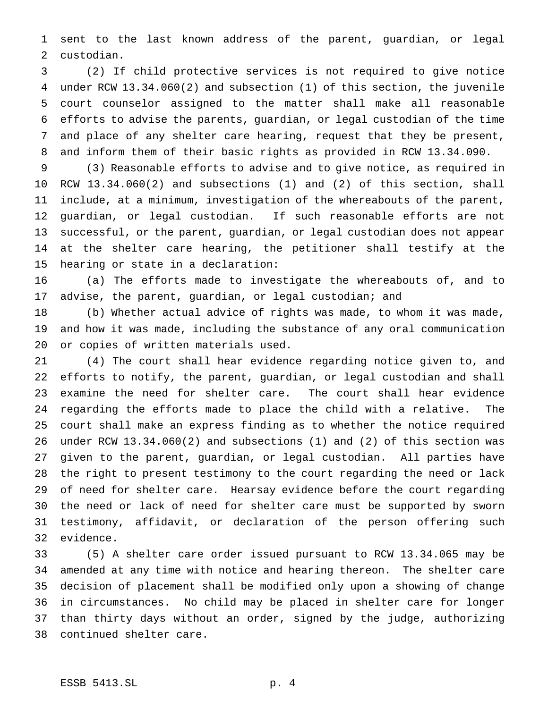sent to the last known address of the parent, guardian, or legal custodian.

 (2) If child protective services is not required to give notice under RCW 13.34.060(2) and subsection (1) of this section, the juvenile court counselor assigned to the matter shall make all reasonable efforts to advise the parents, guardian, or legal custodian of the time and place of any shelter care hearing, request that they be present, and inform them of their basic rights as provided in RCW 13.34.090.

 (3) Reasonable efforts to advise and to give notice, as required in RCW 13.34.060(2) and subsections (1) and (2) of this section, shall include, at a minimum, investigation of the whereabouts of the parent, guardian, or legal custodian. If such reasonable efforts are not successful, or the parent, guardian, or legal custodian does not appear at the shelter care hearing, the petitioner shall testify at the hearing or state in a declaration:

 (a) The efforts made to investigate the whereabouts of, and to advise, the parent, guardian, or legal custodian; and

 (b) Whether actual advice of rights was made, to whom it was made, and how it was made, including the substance of any oral communication or copies of written materials used.

 (4) The court shall hear evidence regarding notice given to, and efforts to notify, the parent, guardian, or legal custodian and shall examine the need for shelter care. The court shall hear evidence regarding the efforts made to place the child with a relative. The court shall make an express finding as to whether the notice required under RCW 13.34.060(2) and subsections (1) and (2) of this section was given to the parent, guardian, or legal custodian. All parties have the right to present testimony to the court regarding the need or lack of need for shelter care. Hearsay evidence before the court regarding the need or lack of need for shelter care must be supported by sworn testimony, affidavit, or declaration of the person offering such evidence.

 (5) A shelter care order issued pursuant to RCW 13.34.065 may be amended at any time with notice and hearing thereon. The shelter care decision of placement shall be modified only upon a showing of change in circumstances. No child may be placed in shelter care for longer than thirty days without an order, signed by the judge, authorizing continued shelter care.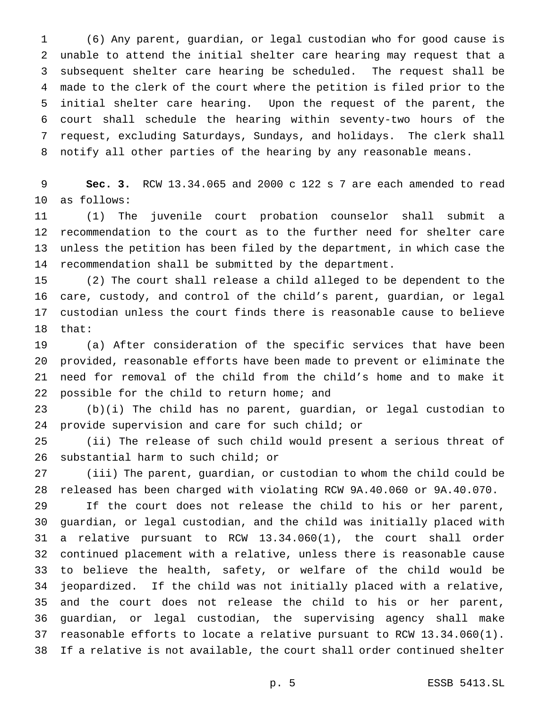(6) Any parent, guardian, or legal custodian who for good cause is unable to attend the initial shelter care hearing may request that a subsequent shelter care hearing be scheduled. The request shall be made to the clerk of the court where the petition is filed prior to the initial shelter care hearing. Upon the request of the parent, the court shall schedule the hearing within seventy-two hours of the request, excluding Saturdays, Sundays, and holidays. The clerk shall notify all other parties of the hearing by any reasonable means.

 **Sec. 3.** RCW 13.34.065 and 2000 c 122 s 7 are each amended to read as follows:

 (1) The juvenile court probation counselor shall submit a recommendation to the court as to the further need for shelter care unless the petition has been filed by the department, in which case the recommendation shall be submitted by the department.

 (2) The court shall release a child alleged to be dependent to the care, custody, and control of the child's parent, guardian, or legal custodian unless the court finds there is reasonable cause to believe that:

 (a) After consideration of the specific services that have been provided, reasonable efforts have been made to prevent or eliminate the need for removal of the child from the child's home and to make it possible for the child to return home; and

 (b)(i) The child has no parent, guardian, or legal custodian to provide supervision and care for such child; or

 (ii) The release of such child would present a serious threat of substantial harm to such child; or

 (iii) The parent, guardian, or custodian to whom the child could be released has been charged with violating RCW 9A.40.060 or 9A.40.070.

 If the court does not release the child to his or her parent, guardian, or legal custodian, and the child was initially placed with a relative pursuant to RCW 13.34.060(1), the court shall order continued placement with a relative, unless there is reasonable cause to believe the health, safety, or welfare of the child would be jeopardized. If the child was not initially placed with a relative, and the court does not release the child to his or her parent, guardian, or legal custodian, the supervising agency shall make reasonable efforts to locate a relative pursuant to RCW 13.34.060(1). If a relative is not available, the court shall order continued shelter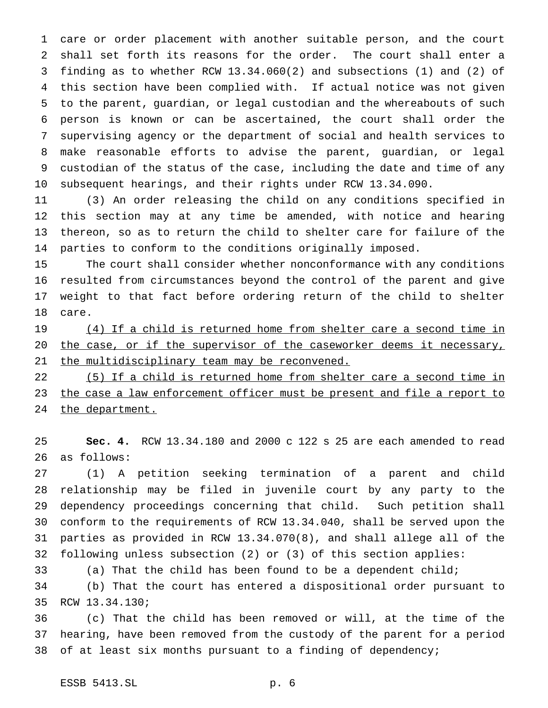care or order placement with another suitable person, and the court shall set forth its reasons for the order. The court shall enter a finding as to whether RCW 13.34.060(2) and subsections (1) and (2) of this section have been complied with. If actual notice was not given to the parent, guardian, or legal custodian and the whereabouts of such person is known or can be ascertained, the court shall order the supervising agency or the department of social and health services to make reasonable efforts to advise the parent, guardian, or legal custodian of the status of the case, including the date and time of any subsequent hearings, and their rights under RCW 13.34.090.

 (3) An order releasing the child on any conditions specified in this section may at any time be amended, with notice and hearing thereon, so as to return the child to shelter care for failure of the parties to conform to the conditions originally imposed.

 The court shall consider whether nonconformance with any conditions resulted from circumstances beyond the control of the parent and give weight to that fact before ordering return of the child to shelter care.

 (4) If a child is returned home from shelter care a second time in 20 the case, or if the supervisor of the caseworker deems it necessary, 21 the multidisciplinary team may be reconvened.

 (5) If a child is returned home from shelter care a second time in 23 the case a law enforcement officer must be present and file a report to 24 the department.

 **Sec. 4.** RCW 13.34.180 and 2000 c 122 s 25 are each amended to read as follows:

 (1) A petition seeking termination of a parent and child relationship may be filed in juvenile court by any party to the dependency proceedings concerning that child. Such petition shall conform to the requirements of RCW 13.34.040, shall be served upon the parties as provided in RCW 13.34.070(8), and shall allege all of the following unless subsection (2) or (3) of this section applies:

(a) That the child has been found to be a dependent child;

 (b) That the court has entered a dispositional order pursuant to RCW 13.34.130;

 (c) That the child has been removed or will, at the time of the hearing, have been removed from the custody of the parent for a period of at least six months pursuant to a finding of dependency;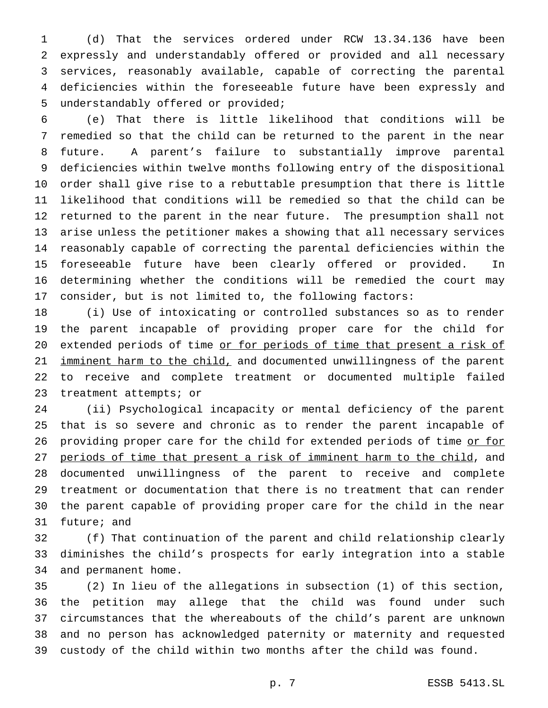(d) That the services ordered under RCW 13.34.136 have been expressly and understandably offered or provided and all necessary services, reasonably available, capable of correcting the parental deficiencies within the foreseeable future have been expressly and understandably offered or provided;

 (e) That there is little likelihood that conditions will be remedied so that the child can be returned to the parent in the near future. A parent's failure to substantially improve parental deficiencies within twelve months following entry of the dispositional order shall give rise to a rebuttable presumption that there is little likelihood that conditions will be remedied so that the child can be returned to the parent in the near future. The presumption shall not arise unless the petitioner makes a showing that all necessary services reasonably capable of correcting the parental deficiencies within the foreseeable future have been clearly offered or provided. In determining whether the conditions will be remedied the court may consider, but is not limited to, the following factors:

 (i) Use of intoxicating or controlled substances so as to render the parent incapable of providing proper care for the child for 20 extended periods of time or for periods of time that present a risk of 21 imminent harm to the child, and documented unwillingness of the parent to receive and complete treatment or documented multiple failed treatment attempts; or

 (ii) Psychological incapacity or mental deficiency of the parent that is so severe and chronic as to render the parent incapable of 26 providing proper care for the child for extended periods of time or for periods of time that present a risk of imminent harm to the child, and documented unwillingness of the parent to receive and complete treatment or documentation that there is no treatment that can render the parent capable of providing proper care for the child in the near future; and

 (f) That continuation of the parent and child relationship clearly diminishes the child's prospects for early integration into a stable and permanent home.

 (2) In lieu of the allegations in subsection (1) of this section, the petition may allege that the child was found under such circumstances that the whereabouts of the child's parent are unknown and no person has acknowledged paternity or maternity and requested custody of the child within two months after the child was found.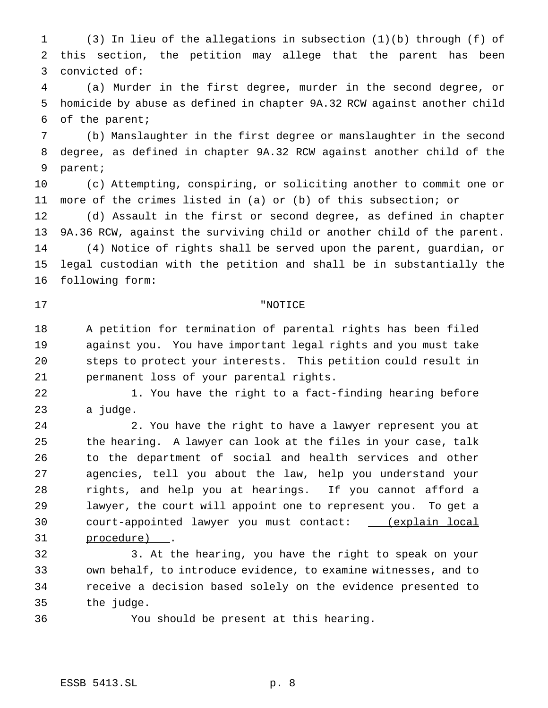(3) In lieu of the allegations in subsection (1)(b) through (f) of this section, the petition may allege that the parent has been convicted of:

 (a) Murder in the first degree, murder in the second degree, or homicide by abuse as defined in chapter 9A.32 RCW against another child of the parent;

 (b) Manslaughter in the first degree or manslaughter in the second degree, as defined in chapter 9A.32 RCW against another child of the parent;

 (c) Attempting, conspiring, or soliciting another to commit one or more of the crimes listed in (a) or (b) of this subsection; or

 (d) Assault in the first or second degree, as defined in chapter 9A.36 RCW, against the surviving child or another child of the parent. (4) Notice of rights shall be served upon the parent, guardian, or legal custodian with the petition and shall be in substantially the following form:

## "NOTICE

 A petition for termination of parental rights has been filed against you. You have important legal rights and you must take steps to protect your interests. This petition could result in permanent loss of your parental rights.

22 1. You have the right to a fact-finding hearing before a judge.

 2. You have the right to have a lawyer represent you at the hearing. A lawyer can look at the files in your case, talk to the department of social and health services and other agencies, tell you about the law, help you understand your rights, and help you at hearings. If you cannot afford a lawyer, the court will appoint one to represent you. To get a 30 court-appointed lawyer you must contact: \_ (explain local procedure) .

 3. At the hearing, you have the right to speak on your own behalf, to introduce evidence, to examine witnesses, and to receive a decision based solely on the evidence presented to the judge.

You should be present at this hearing.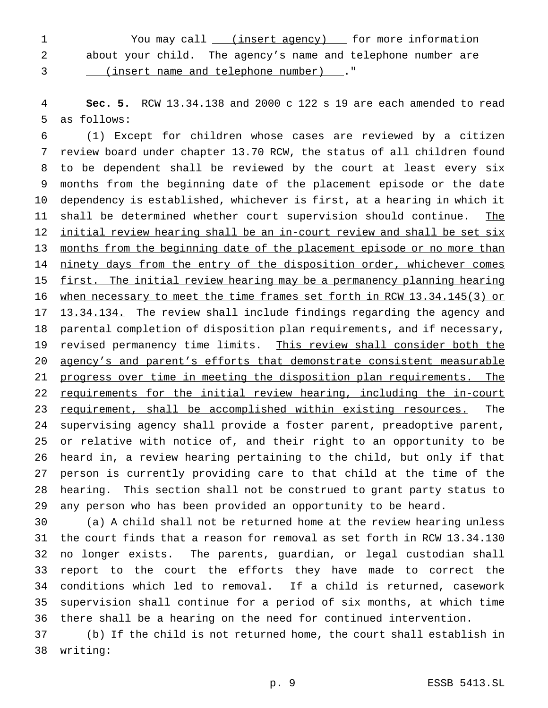1 You may call *\_\_\_ (insert agency)* for more information about your child. The agency's name and telephone number are

(insert name and telephone number) ."

 **Sec. 5.** RCW 13.34.138 and 2000 c 122 s 19 are each amended to read as follows:

 (1) Except for children whose cases are reviewed by a citizen review board under chapter 13.70 RCW, the status of all children found to be dependent shall be reviewed by the court at least every six months from the beginning date of the placement episode or the date dependency is established, whichever is first, at a hearing in which it 11 shall be determined whether court supervision should continue. The initial review hearing shall be an in-court review and shall be set six 13 months from the beginning date of the placement episode or no more than 14 ninety days from the entry of the disposition order, whichever comes first. The initial review hearing may be a permanency planning hearing when necessary to meet the time frames set forth in RCW 13.34.145(3) or 17 13.34.134. The review shall include findings regarding the agency and parental completion of disposition plan requirements, and if necessary, 19 revised permanency time limits. This review shall consider both the agency's and parent's efforts that demonstrate consistent measurable progress over time in meeting the disposition plan requirements. The requirements for the initial review hearing, including the in-court 23 requirement, shall be accomplished within existing resources. The supervising agency shall provide a foster parent, preadoptive parent, or relative with notice of, and their right to an opportunity to be heard in, a review hearing pertaining to the child, but only if that person is currently providing care to that child at the time of the hearing. This section shall not be construed to grant party status to any person who has been provided an opportunity to be heard.

 (a) A child shall not be returned home at the review hearing unless the court finds that a reason for removal as set forth in RCW 13.34.130 no longer exists. The parents, guardian, or legal custodian shall report to the court the efforts they have made to correct the conditions which led to removal. If a child is returned, casework supervision shall continue for a period of six months, at which time there shall be a hearing on the need for continued intervention.

 (b) If the child is not returned home, the court shall establish in writing: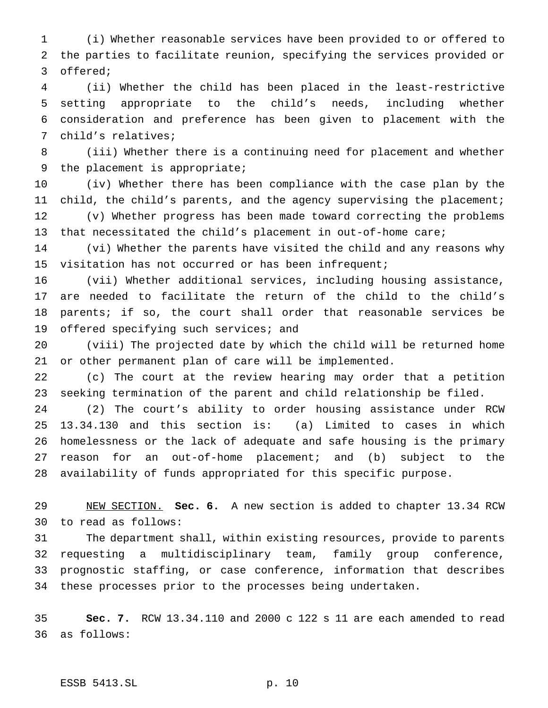(i) Whether reasonable services have been provided to or offered to the parties to facilitate reunion, specifying the services provided or offered;

 (ii) Whether the child has been placed in the least-restrictive setting appropriate to the child's needs, including whether consideration and preference has been given to placement with the child's relatives;

 (iii) Whether there is a continuing need for placement and whether the placement is appropriate;

 (iv) Whether there has been compliance with the case plan by the child, the child's parents, and the agency supervising the placement; (v) Whether progress has been made toward correcting the problems that necessitated the child's placement in out-of-home care;

 (vi) Whether the parents have visited the child and any reasons why visitation has not occurred or has been infrequent;

 (vii) Whether additional services, including housing assistance, are needed to facilitate the return of the child to the child's parents; if so, the court shall order that reasonable services be 19 offered specifying such services; and

 (viii) The projected date by which the child will be returned home or other permanent plan of care will be implemented.

 (c) The court at the review hearing may order that a petition seeking termination of the parent and child relationship be filed.

 (2) The court's ability to order housing assistance under RCW 13.34.130 and this section is: (a) Limited to cases in which homelessness or the lack of adequate and safe housing is the primary reason for an out-of-home placement; and (b) subject to the availability of funds appropriated for this specific purpose.

 NEW SECTION. **Sec. 6.** A new section is added to chapter 13.34 RCW to read as follows:

 The department shall, within existing resources, provide to parents requesting a multidisciplinary team, family group conference, prognostic staffing, or case conference, information that describes these processes prior to the processes being undertaken.

 **Sec. 7.** RCW 13.34.110 and 2000 c 122 s 11 are each amended to read as follows: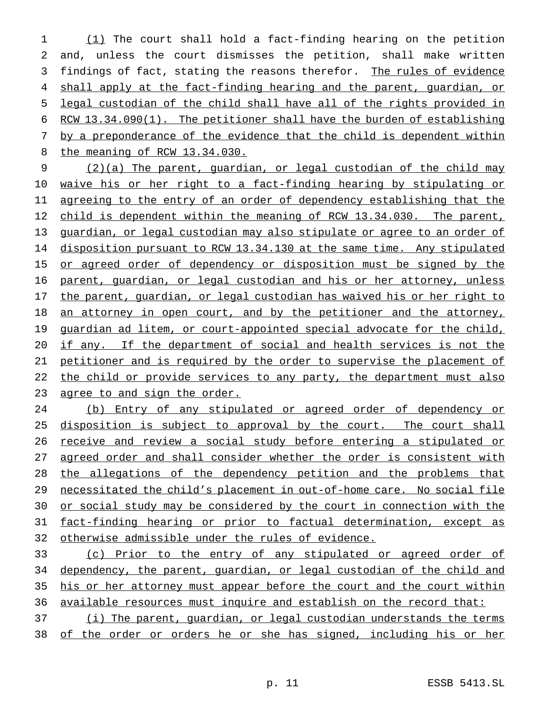(1) The court shall hold a fact-finding hearing on the petition and, unless the court dismisses the petition, shall make written 3 findings of fact, stating the reasons therefor. The rules of evidence 4 shall apply at the fact-finding hearing and the parent, guardian, or legal custodian of the child shall have all of the rights provided in RCW 13.34.090(1). The petitioner shall have the burden of establishing 7 by a preponderance of the evidence that the child is dependent within the meaning of RCW 13.34.030.

9 (2)(a) The parent, guardian, or legal custodian of the child may 10 waive his or her right to a fact-finding hearing by stipulating or 11 agreeing to the entry of an order of dependency establishing that the 12 child is dependent within the meaning of RCW 13.34.030. The parent, 13 guardian, or legal custodian may also stipulate or agree to an order of 14 disposition pursuant to RCW 13.34.130 at the same time. Any stipulated 15 or agreed order of dependency or disposition must be signed by the 16 parent, guardian, or legal custodian and his or her attorney, unless 17 the parent, guardian, or legal custodian has waived his or her right to 18 an attorney in open court, and by the petitioner and the attorney, 19 guardian ad litem, or court-appointed special advocate for the child, 20 if any. If the department of social and health services is not the 21 petitioner and is required by the order to supervise the placement of 22 the child or provide services to any party, the department must also 23 agree to and sign the order.

 (b) Entry of any stipulated or agreed order of dependency or 25 disposition is subject to approval by the court. The court shall 26 receive and review a social study before entering a stipulated or agreed order and shall consider whether the order is consistent with the allegations of the dependency petition and the problems that necessitated the child's placement in out-of-home care. No social file or social study may be considered by the court in connection with the fact-finding hearing or prior to factual determination, except as otherwise admissible under the rules of evidence.

33 (c) Prior to the entry of any stipulated or agreed order of 34 dependency, the parent, guardian, or legal custodian of the child and 35 his or her attorney must appear before the court and the court within 36 available resources must inquire and establish on the record that:

37 (i) The parent, guardian, or legal custodian understands the terms 38 of the order or orders he or she has signed, including his or her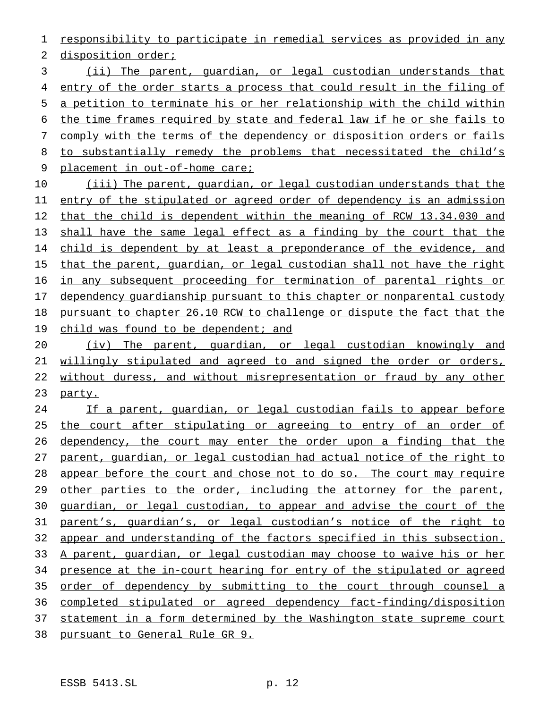responsibility to participate in remedial services as provided in any

2 disposition order;

 (ii) The parent, guardian, or legal custodian understands that entry of the order starts a process that could result in the filing of a petition to terminate his or her relationship with the child within the time frames required by state and federal law if he or she fails to comply with the terms of the dependency or disposition orders or fails 8 to substantially remedy the problems that necessitated the child's placement in out-of-home care;

 (iii) The parent, guardian, or legal custodian understands that the entry of the stipulated or agreed order of dependency is an admission that the child is dependent within the meaning of RCW 13.34.030 and shall have the same legal effect as a finding by the court that the 14 child is dependent by at least a preponderance of the evidence, and 15 that the parent, guardian, or legal custodian shall not have the right in any subsequent proceeding for termination of parental rights or 17 dependency quardianship pursuant to this chapter or nonparental custody pursuant to chapter 26.10 RCW to challenge or dispute the fact that the 19 child was found to be dependent; and

 (iv) The parent, guardian, or legal custodian knowingly and willingly stipulated and agreed to and signed the order or orders, without duress, and without misrepresentation or fraud by any other 23 party.

 If a parent, guardian, or legal custodian fails to appear before 25 the court after stipulating or agreeing to entry of an order of dependency, the court may enter the order upon a finding that the parent, guardian, or legal custodian had actual notice of the right to appear before the court and chose not to do so. The court may require 29 other parties to the order, including the attorney for the parent, guardian, or legal custodian, to appear and advise the court of the parent's, guardian's, or legal custodian's notice of the right to appear and understanding of the factors specified in this subsection. A parent, guardian, or legal custodian may choose to waive his or her 34 presence at the in-court hearing for entry of the stipulated or agreed order of dependency by submitting to the court through counsel a completed stipulated or agreed dependency fact-finding/disposition statement in a form determined by the Washington state supreme court pursuant to General Rule GR 9.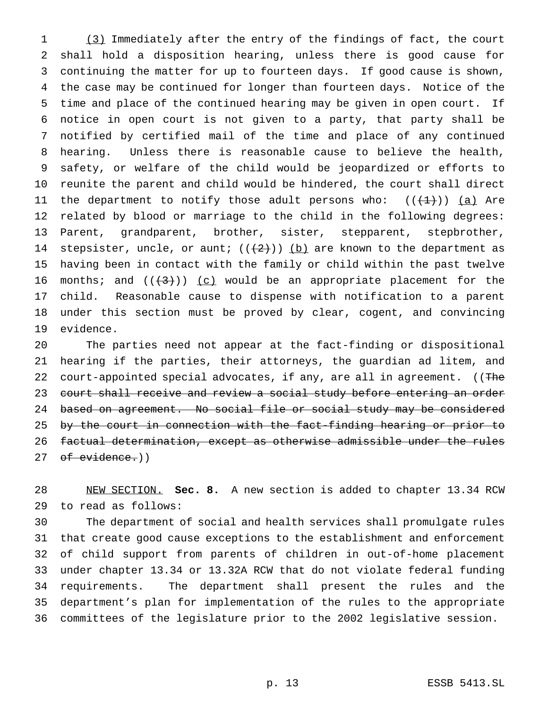(3) Immediately after the entry of the findings of fact, the court shall hold a disposition hearing, unless there is good cause for continuing the matter for up to fourteen days. If good cause is shown, the case may be continued for longer than fourteen days. Notice of the time and place of the continued hearing may be given in open court. If notice in open court is not given to a party, that party shall be notified by certified mail of the time and place of any continued hearing. Unless there is reasonable cause to believe the health, safety, or welfare of the child would be jeopardized or efforts to reunite the parent and child would be hindered, the court shall direct 11 the department to notify those adult persons who:  $((+1+))$  (a) Are related by blood or marriage to the child in the following degrees: Parent, grandparent, brother, sister, stepparent, stepbrother, 14 stepsister, uncle, or aunt;  $((+2))$  (b) are known to the department as having been in contact with the family or child within the past twelve 16 months; and  $((+3))$  (c) would be an appropriate placement for the child. Reasonable cause to dispense with notification to a parent under this section must be proved by clear, cogent, and convincing evidence.

 The parties need not appear at the fact-finding or dispositional hearing if the parties, their attorneys, the guardian ad litem, and 22 court-appointed special advocates, if any, are all in agreement. ((The court shall receive and review a social study before entering an order 24 based on agreement. No social file or social study may be considered 25 by the court in connection with the fact-finding hearing or prior to factual determination, except as otherwise admissible under the rules 27 of evidence.))

 NEW SECTION. **Sec. 8.** A new section is added to chapter 13.34 RCW to read as follows:

 The department of social and health services shall promulgate rules that create good cause exceptions to the establishment and enforcement of child support from parents of children in out-of-home placement under chapter 13.34 or 13.32A RCW that do not violate federal funding requirements. The department shall present the rules and the department's plan for implementation of the rules to the appropriate committees of the legislature prior to the 2002 legislative session.